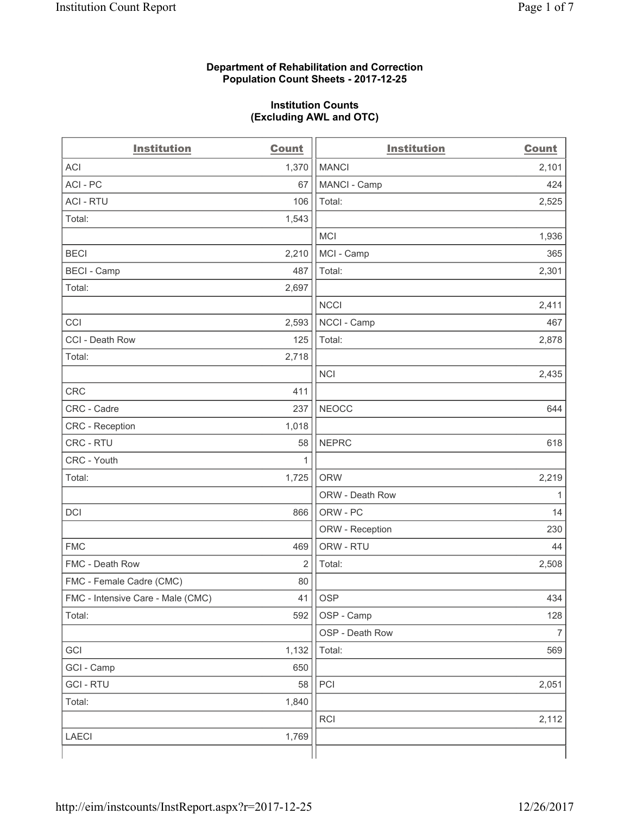### **Department of Rehabilitation and Correction Population Count Sheets - 2017-12-25**

#### **Institution Counts (Excluding AWL and OTC)**

| <b>Institution</b>                | <b>Count</b> | <b>Institution</b> | <b>Count</b>   |
|-----------------------------------|--------------|--------------------|----------------|
| <b>ACI</b>                        | 1,370        | <b>MANCI</b>       | 2,101          |
| ACI-PC                            | 67           | MANCI - Camp       | 424            |
| <b>ACI - RTU</b>                  | 106          | Total:             | 2,525          |
| Total:                            | 1,543        |                    |                |
|                                   |              | <b>MCI</b>         | 1,936          |
| <b>BECI</b>                       | 2,210        | MCI - Camp         | 365            |
| <b>BECI - Camp</b>                | 487          | Total:             | 2,301          |
| Total:                            | 2,697        |                    |                |
|                                   |              | <b>NCCI</b>        | 2,411          |
| CCI                               | 2,593        | NCCI - Camp        | 467            |
| CCI - Death Row                   | 125          | Total:             | 2,878          |
| Total:                            | 2,718        |                    |                |
|                                   |              | <b>NCI</b>         | 2,435          |
| <b>CRC</b>                        | 411          |                    |                |
| CRC - Cadre                       | 237          | <b>NEOCC</b>       | 644            |
| CRC - Reception                   | 1,018        |                    |                |
| CRC - RTU                         | 58           | <b>NEPRC</b>       | 618            |
| CRC - Youth                       | 1            |                    |                |
| Total:                            | 1,725        | <b>ORW</b>         | 2,219          |
|                                   |              | ORW - Death Row    | 1              |
| DCI                               | 866          | ORW - PC           | 14             |
|                                   |              | ORW - Reception    | 230            |
| <b>FMC</b>                        | 469          | ORW - RTU          | 44             |
| FMC - Death Row                   | 2            | Total:             | 2,508          |
| FMC - Female Cadre (CMC)          | 80           |                    |                |
| FMC - Intensive Care - Male (CMC) | 41           | OSP                | 434            |
| Total:                            | 592          | OSP - Camp         | 128            |
|                                   |              | OSP - Death Row    | $\overline{7}$ |
| GCI                               | 1,132        | Total:             | 569            |
| GCI - Camp                        | 650          |                    |                |
| <b>GCI-RTU</b>                    | 58           | PCI                | 2,051          |
| Total:                            | 1,840        |                    |                |
|                                   |              | RCI                | 2,112          |
| <b>LAECI</b>                      | 1,769        |                    |                |
|                                   |              |                    |                |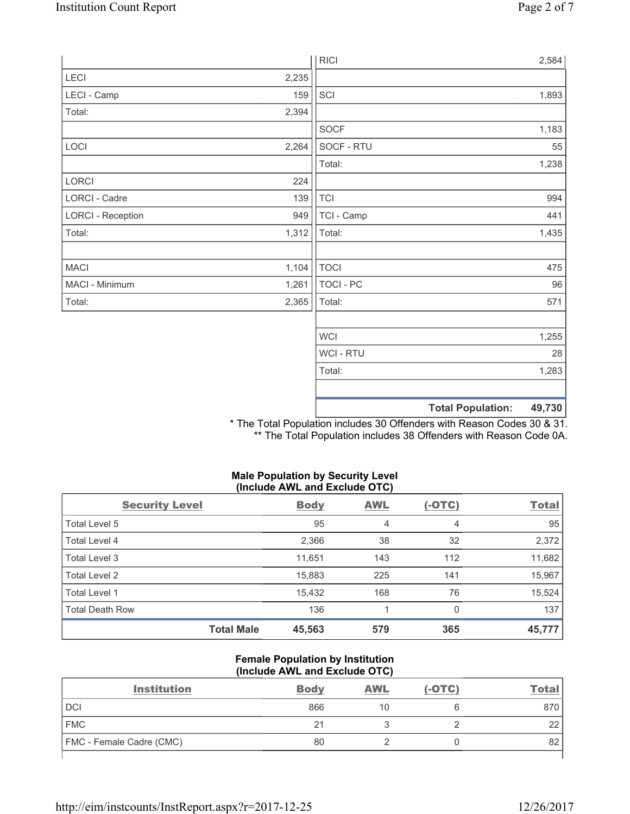|                          |       |             | <b>Total Population:</b><br>49,730 |
|--------------------------|-------|-------------|------------------------------------|
|                          |       | Total:      | 1,283                              |
|                          |       | WCI - RTU   | 28                                 |
|                          |       | <b>WCI</b>  | 1,255                              |
|                          |       |             |                                    |
| Total:                   | 2,365 | Total:      | 571                                |
| MACI - Minimum           | 1,261 | TOCI - PC   | 96                                 |
| <b>MACI</b>              | 1,104 | <b>TOCI</b> | 475                                |
| Total:                   | 1,312 | Total:      | 1,435                              |
| <b>LORCI - Reception</b> | 949   | TCI - Camp  | 441                                |
| LORCI - Cadre            | 139   | <b>TCI</b>  | 994                                |
| LORCI                    | 224   |             |                                    |
|                          |       | Total:      | 1,238                              |
| LOCI                     | 2,264 | SOCF - RTU  | 55                                 |
|                          |       | <b>SOCF</b> | 1,183                              |
| Total:                   | 2,394 |             |                                    |
| LECI - Camp              | 159   | SCI         | 1,893                              |
| LECI                     | 2,235 |             |                                    |
|                          |       | <b>RICI</b> | 2,584                              |

\* The Total Population includes 30 Offenders with Reason Codes 30 & 31. \*\* The Total Population includes 38 Offenders with Reason Code 0A.

# **Male Population by Security Level (Include AWL and Exclude OTC)**

| <b>Security Level</b>  |                   | <b>Body</b> | <b>AWL</b> | $(-OTC)$ | <b>Total</b> |
|------------------------|-------------------|-------------|------------|----------|--------------|
| Total Level 5          |                   | 95          | 4          | 4        | 95           |
| <b>Total Level 4</b>   |                   | 2,366       | 38         | 32       | 2,372        |
| Total Level 3          |                   | 11,651      | 143        | 112      | 11,682       |
| Total Level 2          |                   | 15,883      | 225        | 141      | 15,967       |
| Total Level 1          |                   | 15.432      | 168        | 76       | 15,524       |
| <b>Total Death Row</b> |                   | 136         |            | 0        | 137          |
|                        | <b>Total Male</b> | 45,563      | 579        | 365      | 45,777       |

## **Female Population by Institution (Include AWL and Exclude OTC)**

| <b>Institution</b>              | <b>Body</b> | <b>AWL</b> | $(-OTC)$ | Tota     |
|---------------------------------|-------------|------------|----------|----------|
| <b>DCI</b>                      | 866         | 10         |          | 870      |
| <b>FMC</b>                      | 21          |            |          | າາ<br>∠∠ |
| <b>FMC</b> - Female Cadre (CMC) | 80          |            |          | 82       |
|                                 |             |            |          |          |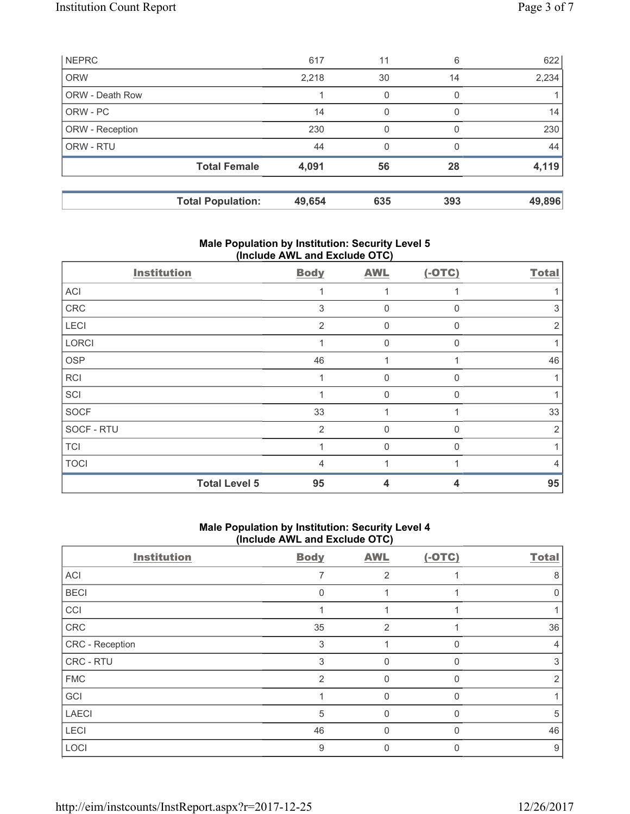|                        | <b>Total Population:</b> | 49,654 | 635 | 393 | 49,896 |
|------------------------|--------------------------|--------|-----|-----|--------|
|                        | <b>Total Female</b>      | 4,091  | 56  | 28  | 4,119  |
| ORW - RTU              |                          | 44     | 0   | O   | 44     |
| ORW - Reception        |                          | 230    | 0   | O   | 230    |
| ORW - PC               |                          | 14     | 0   | 0   | 14     |
| <b>ORW - Death Row</b> |                          |        | 0   | 0   |        |
| <b>ORW</b>             |                          | 2,218  | 30  | 14  | 2,234  |
| <b>NEPRC</b>           |                          | 617    | 11  | 6   | 622    |

# **Male Population by Institution: Security Level 5 (Include AWL and Exclude OTC)**

| <b>Institution</b>   | <b>Body</b>    | <b>AWL</b>  | $(-OTC)$     | <b>Total</b>   |
|----------------------|----------------|-------------|--------------|----------------|
| ACI                  |                |             |              |                |
| CRC                  | 3              | $\mathbf 0$ | $\Omega$     | 3              |
| LECI                 | $\overline{2}$ | 0           | $\Omega$     | $\overline{2}$ |
| LORCI                |                | 0           | $\mathbf{0}$ |                |
| <b>OSP</b>           | 46             |             |              | 46             |
| <b>RCI</b>           |                | 0           | n            |                |
| SCI                  |                | $\Omega$    | $\Omega$     |                |
| <b>SOCF</b>          | 33             |             |              | 33             |
| SOCF - RTU           | $\overline{2}$ | $\Omega$    | $\Omega$     | $\overline{2}$ |
| <b>TCI</b>           |                | $\Omega$    | $\Omega$     |                |
| <b>TOCI</b>          | 4              |             |              | 4              |
| <b>Total Level 5</b> | 95             | 4           | 4            | 95             |

# **Male Population by Institution: Security Level 4 (Include AWL and Exclude OTC)**

| <b>Institution</b> | <b>Body</b> | <b>AWL</b>     | $(-OTC)$ | <b>Total</b> |
|--------------------|-------------|----------------|----------|--------------|
| ACI                |             | 2              |          | 8            |
| <b>BECI</b>        | $\Omega$    |                |          | 0            |
| CCI                |             |                |          |              |
| ${\sf CRC}$        | 35          | $\overline{2}$ |          | 36           |
| CRC - Reception    | 3           |                |          | 4            |
| CRC - RTU          | 3           | 0              |          | 3            |
| <b>FMC</b>         | 2           | 0              | 0        | 2            |
| GCI                |             | $\Omega$       | 0        |              |
| <b>LAECI</b>       | 5           | 0              |          | 5            |
| LECI               | 46          | 0              |          | 46           |
| LOCI               | 9           | 0              |          | 9            |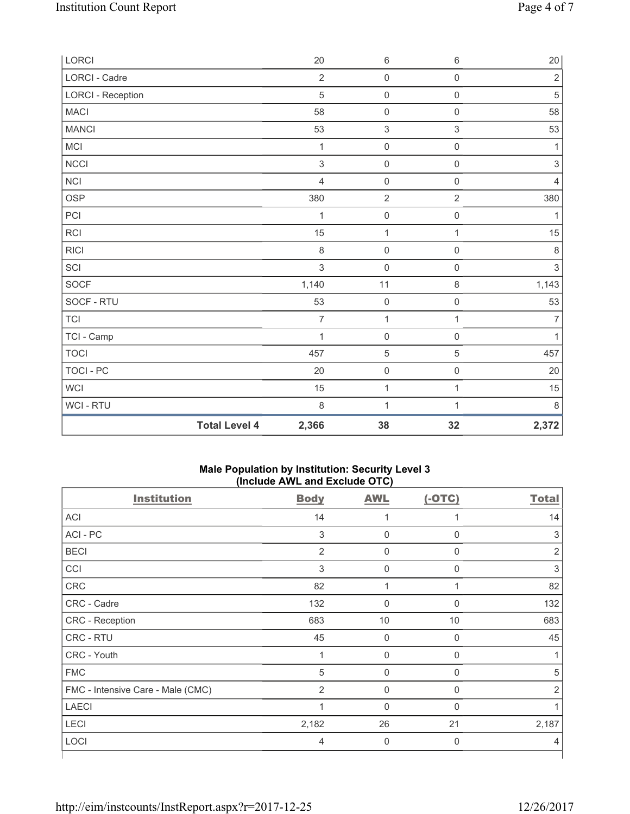| LORCI                    |                      | 20             | $\,6\,$             | $\,6\,$             | $20\,$         |
|--------------------------|----------------------|----------------|---------------------|---------------------|----------------|
| LORCI - Cadre            |                      | $\overline{2}$ | $\mathsf 0$         | $\mathsf{O}\xspace$ | $\sqrt{2}$     |
| <b>LORCI - Reception</b> |                      | $\sqrt{5}$     | $\mathsf{O}\xspace$ | $\mathsf{O}\xspace$ | $\sqrt{5}$     |
| <b>MACI</b>              |                      | 58             | $\mathsf{O}\xspace$ | $\mathsf 0$         | 58             |
| <b>MANCI</b>             |                      | 53             | $\,$ 3 $\,$         | $\mathsf 3$         | 53             |
| MCI                      |                      | 1              | $\mathsf{O}\xspace$ | $\mathsf{O}\xspace$ | 1              |
| <b>NCCI</b>              |                      | $\sqrt{3}$     | $\mathsf{O}\xspace$ | $\mathsf{O}\xspace$ | $\sqrt{3}$     |
| <b>NCI</b>               |                      | $\overline{4}$ | $\mathsf{O}\xspace$ | $\mathsf{O}\xspace$ | $\overline{4}$ |
| <b>OSP</b>               |                      | 380            | $\sqrt{2}$          | $\overline{2}$      | 380            |
| PCI                      |                      | 1              | $\mathsf{O}\xspace$ | 0                   | 1              |
| <b>RCI</b>               |                      | 15             | $\mathbf{1}$        | $\mathbf{1}$        | 15             |
| <b>RICI</b>              |                      | $\,8\,$        | $\mathsf{O}\xspace$ | $\mathsf 0$         | $\,8\,$        |
| SCI                      |                      | $\mathfrak{S}$ | $\mathbf 0$         | $\mathsf{O}\xspace$ | $\sqrt{3}$     |
| SOCF                     |                      | 1,140          | 11                  | $\,8\,$             | 1,143          |
| SOCF - RTU               |                      | 53             | $\mathsf{O}\xspace$ | $\mathsf{O}\xspace$ | 53             |
| <b>TCI</b>               |                      | $\overline{7}$ | $\mathbf{1}$        | $\mathbf{1}$        | $\overline{7}$ |
| TCI - Camp               |                      | 1              | $\mathsf 0$         | $\mathsf{O}\xspace$ | $\mathbf{1}$   |
| <b>TOCI</b>              |                      | 457            | $\,$ 5 $\,$         | 5                   | 457            |
| <b>TOCI - PC</b>         |                      | 20             | $\mathsf{O}\xspace$ | $\mathsf{O}\xspace$ | 20             |
| <b>WCI</b>               |                      | 15             | $\mathbf 1$         | 1                   | 15             |
| WCI - RTU                |                      | 8              | $\mathbf{1}$        | $\mathbf{1}$        | $\,8\,$        |
|                          | <b>Total Level 4</b> | 2,366          | 38                  | 32                  | 2,372          |

## **Male Population by Institution: Security Level 3 (Include AWL and Exclude OTC)**

| <b>Institution</b>                | <b>Body</b>    | <b>AWL</b>       | $(-OTC)$    | <b>Total</b>   |
|-----------------------------------|----------------|------------------|-------------|----------------|
| <b>ACI</b>                        | 14             |                  |             | 14             |
| ACI-PC                            | 3              | $\boldsymbol{0}$ | 0           | 3              |
| <b>BECI</b>                       | 2              | $\mathbf 0$      | $\mathbf 0$ | $\overline{2}$ |
| CCI                               | 3              | $\Omega$         | $\Omega$    | 3              |
| CRC                               | 82             | 1                |             | 82             |
| CRC - Cadre                       | 132            | $\mathbf 0$      | $\mathbf 0$ | 132            |
| CRC - Reception                   | 683            | 10               | 10          | 683            |
| CRC - RTU                         | 45             | 0                | 0           | 45             |
| CRC - Youth                       | 1              | $\mathbf 0$      | 0           |                |
| <b>FMC</b>                        | 5              | $\mathbf 0$      | $\Omega$    | 5              |
| FMC - Intensive Care - Male (CMC) | 2              | $\mathbf 0$      | $\Omega$    | 2              |
| <b>LAECI</b>                      | 1              | $\mathbf 0$      | $\Omega$    |                |
| LECI                              | 2,182          | 26               | 21          | 2,187          |
| LOCI                              | $\overline{4}$ | $\mathbf 0$      | 0           | 4              |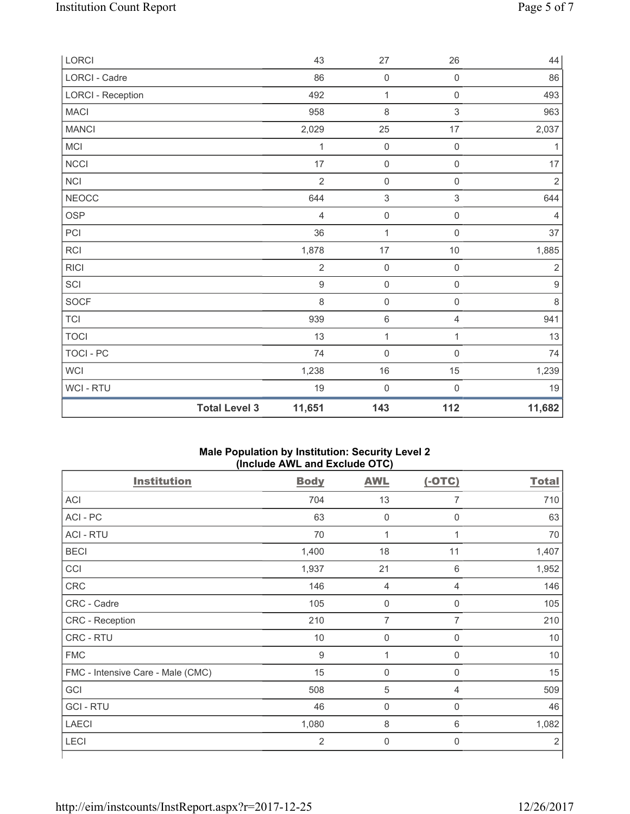|                          | <b>Total Level 3</b> | 11,651         | 143                       | 112                 | 11,682           |
|--------------------------|----------------------|----------------|---------------------------|---------------------|------------------|
| WCI - RTU                |                      | 19             | $\mathbf 0$               | $\mathbf 0$         | 19               |
| WCI                      |                      | 1,238          | $16\,$                    | 15                  | 1,239            |
| TOCI - PC                |                      | 74             | $\mathsf{O}\xspace$       | $\mathsf{O}\xspace$ | 74               |
| <b>TOCI</b>              |                      | 13             | $\mathbf 1$               | 1                   | 13               |
| $\top$ Cl                |                      | 939            | 6                         | $\overline{4}$      | 941              |
| SOCF                     |                      | 8              | $\mathsf{O}\xspace$       | $\mathsf{O}\xspace$ | $\,8\,$          |
| SCI                      |                      | $\mathsf g$    | $\mathsf{O}\xspace$       | $\mathsf 0$         | $\boldsymbol{9}$ |
| <b>RICI</b>              |                      | $\sqrt{2}$     | $\mathsf 0$               | $\mathsf 0$         | $\sqrt{2}$       |
| RCI                      |                      | 1,878          | 17                        | $10$                | 1,885            |
| PCI                      |                      | 36             | $\mathbf{1}$              | $\mathsf{O}\xspace$ | 37               |
| OSP                      |                      | $\overline{4}$ | $\mathsf{O}\xspace$       | $\mathsf{O}\xspace$ | $\overline{4}$   |
| <b>NEOCC</b>             |                      | 644            | $\ensuremath{\mathsf{3}}$ | 3                   | 644              |
| <b>NCI</b>               |                      | $\overline{2}$ | $\mathsf{O}\xspace$       | $\mathsf{O}\xspace$ | $\mathbf 2$      |
| <b>NCCI</b>              |                      | 17             | $\mathsf{O}\xspace$       | $\mathsf{O}\xspace$ | 17               |
| MCI                      |                      | 1              | $\mathsf{O}\xspace$       | $\mathsf 0$         | $\mathbf{1}$     |
| <b>MANCI</b>             |                      | 2,029          | 25                        | 17                  | 2,037            |
| MACI                     |                      | 958            | 8                         | $\mathsf 3$         | 963              |
| <b>LORCI - Reception</b> |                      | 492            | $\mathbf{1}$              | $\mathsf{O}\xspace$ | 493              |
| LORCI - Cadre            |                      | 86             | $\mathbf 0$               | $\mathsf{O}\xspace$ | 86               |
| LORCI                    |                      | 43             | 27                        | 26                  | 44               |

## **Male Population by Institution: Security Level 2 (Include AWL and Exclude OTC)**

| <b>Body</b>      | <b>AWL</b>          | $(-OTC)$       | <b>Total</b>   |
|------------------|---------------------|----------------|----------------|
| 704              | 13                  | 7              | 710            |
| 63               | $\mathbf 0$         | $\mathsf{0}$   | 63             |
| 70               | 1                   | $\mathbf 1$    | 70             |
| 1,400            | 18                  | 11             | 1,407          |
| 1,937            | 21                  | $6\,$          | 1,952          |
| 146              | $\overline{4}$      | $\overline{4}$ | 146            |
| 105              | $\mathsf{0}$        | $\mathbf 0$    | 105            |
| 210              | 7                   | $\overline{7}$ | 210            |
| $10$             | $\mathsf{O}\xspace$ | $\mathbf 0$    | 10             |
| $\boldsymbol{9}$ | 1                   | $\mathbf 0$    | 10             |
| 15               | $\mathbf 0$         | $\mathbf 0$    | 15             |
| 508              | 5                   | $\overline{4}$ | 509            |
| 46               | $\mathbf 0$         | $\mathbf 0$    | 46             |
| 1,080            | $\,8\,$             | 6              | 1,082          |
| $\overline{2}$   | $\mathbf 0$         | $\mathbf 0$    | $\overline{2}$ |
|                  |                     |                |                |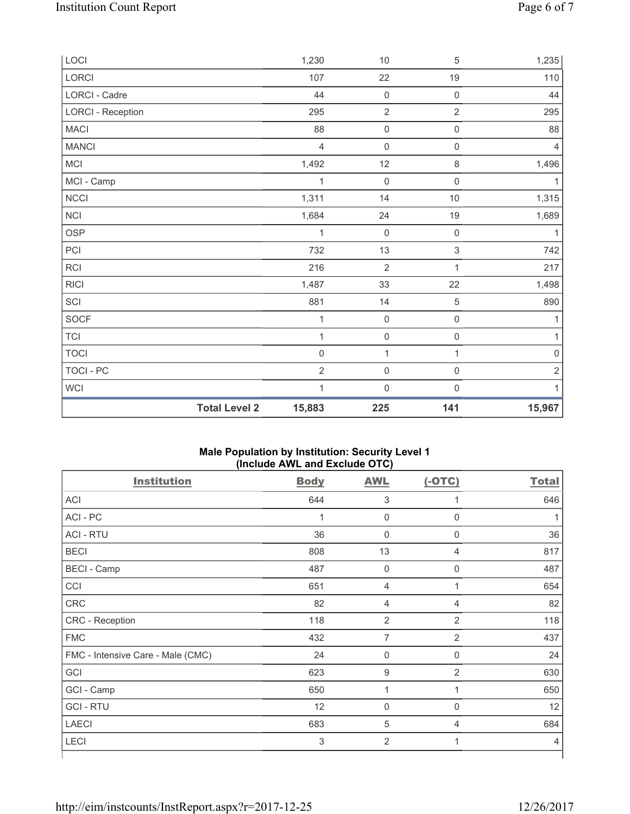| LOCI                     |                      | 1,230          | $10$                | $\,$ 5 $\,$         | 1,235          |
|--------------------------|----------------------|----------------|---------------------|---------------------|----------------|
| LORCI                    |                      | 107            | 22                  | 19                  | 110            |
| LORCI - Cadre            |                      | 44             | $\mathsf 0$         | $\mathsf{O}\xspace$ | 44             |
| <b>LORCI - Reception</b> |                      | 295            | $\overline{2}$      | $\overline{2}$      | 295            |
| MACI                     |                      | 88             | $\mathsf{O}\xspace$ | $\mathsf{O}\xspace$ | 88             |
| <b>MANCI</b>             |                      | $\overline{4}$ | $\mathbf 0$         | $\mathsf 0$         | $\overline{4}$ |
| MCI                      |                      | 1,492          | 12                  | $\,8\,$             | 1,496          |
| MCI - Camp               |                      | 1              | $\mathbf 0$         | $\mathsf 0$         | $\mathbf{1}$   |
| NCCI                     |                      | 1,311          | 14                  | $10$                | 1,315          |
| NCI                      |                      | 1,684          | 24                  | 19                  | 1,689          |
| <b>OSP</b>               |                      | 1              | $\mathbf 0$         | $\mathsf{0}$        | 1              |
| PCI                      |                      | 732            | 13                  | 3                   | 742            |
| RCI                      |                      | 216            | $\sqrt{2}$          | 1                   | 217            |
| <b>RICI</b>              |                      | 1,487          | 33                  | 22                  | 1,498          |
| SCI                      |                      | 881            | 14                  | $\,$ 5 $\,$         | 890            |
| SOCF                     |                      | 1              | $\mathbf 0$         | $\mathsf{O}\xspace$ | $\mathbf{1}$   |
| <b>TCI</b>               |                      | 1              | $\mathsf{O}\xspace$ | $\mathsf{O}\xspace$ | $\mathbf{1}$   |
| <b>TOCI</b>              |                      | $\mathbf 0$    | $\mathbf{1}$        | 1                   | $\mathbf 0$    |
| TOCI - PC                |                      | $\overline{2}$ | $\mathbf 0$         | $\mathsf{O}\xspace$ | $\sqrt{2}$     |
| WCI                      |                      | 1              | $\mathbf 0$         | $\mathsf 0$         | 1              |
|                          | <b>Total Level 2</b> | 15,883         | 225                 | 141                 | 15,967         |

## **Male Population by Institution: Security Level 1 (Include AWL and Exclude OTC)**

| <b>Institution</b>                | <b>Body</b> | <b>AWL</b>          | $(-OTC)$         | <b>Total</b>   |
|-----------------------------------|-------------|---------------------|------------------|----------------|
| <b>ACI</b>                        | 644         | $\sqrt{3}$          | 1                | 646            |
| ACI - PC                          | 1           | $\pmb{0}$           | $\mathbf 0$      |                |
| <b>ACI - RTU</b>                  | 36          | $\mathbf 0$         | $\mathbf 0$      | 36             |
| <b>BECI</b>                       | 808         | 13                  | $\overline{4}$   | 817            |
| <b>BECI</b> - Camp                | 487         | $\mathbf 0$         | 0                | 487            |
| CCI                               | 651         | $\overline{4}$      | 1                | 654            |
| CRC                               | 82          | 4                   | 4                | 82             |
| CRC - Reception                   | 118         | $\overline{2}$      | $\overline{2}$   | 118            |
| <b>FMC</b>                        | 432         | 7                   | $\overline{2}$   | 437            |
| FMC - Intensive Care - Male (CMC) | 24          | $\mathsf{O}\xspace$ | $\mathbf 0$      | 24             |
| GCI                               | 623         | $\boldsymbol{9}$    | $\overline{2}$   | 630            |
| GCI - Camp                        | 650         | 1                   | 1                | 650            |
| <b>GCI-RTU</b>                    | 12          | $\mathbf 0$         | $\boldsymbol{0}$ | 12             |
| <b>LAECI</b>                      | 683         | $\sqrt{5}$          | $\overline{4}$   | 684            |
| <b>LECI</b>                       | 3           | $\overline{2}$      | 1                | $\overline{4}$ |
|                                   |             |                     |                  |                |